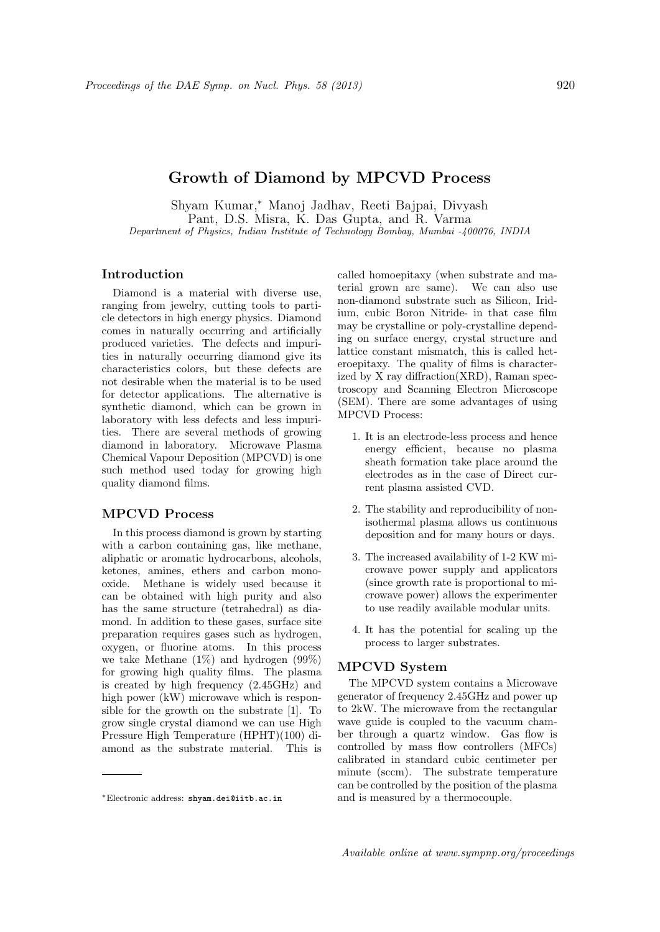# Growth of Diamond by MPCVD Process

Shyam Kumar,<sup>∗</sup> Manoj Jadhav, Reeti Bajpai, Divyash Pant, D.S. Misra, K. Das Gupta, and R. Varma Department of Physics, Indian Institute of Technology Bombay, Mumbai -400076, INDIA

## Introduction

Diamond is a material with diverse use, ranging from jewelry, cutting tools to particle detectors in high energy physics. Diamond comes in naturally occurring and artificially produced varieties. The defects and impurities in naturally occurring diamond give its characteristics colors, but these defects are not desirable when the material is to be used for detector applications. The alternative is synthetic diamond, which can be grown in laboratory with less defects and less impurities. There are several methods of growing diamond in laboratory. Microwave Plasma Chemical Vapour Deposition (MPCVD) is one such method used today for growing high quality diamond films.

### MPCVD Process

In this process diamond is grown by starting with a carbon containing gas, like methane, aliphatic or aromatic hydrocarbons, alcohols, ketones, amines, ethers and carbon monooxide. Methane is widely used because it can be obtained with high purity and also has the same structure (tetrahedral) as diamond. In addition to these gases, surface site preparation requires gases such as hydrogen, oxygen, or fluorine atoms. In this process we take Methane (1%) and hydrogen (99%) for growing high quality films. The plasma is created by high frequency (2.45GHz) and high power (kW) microwave which is responsible for the growth on the substrate [1]. To grow single crystal diamond we can use High Pressure High Temperature (HPHT)(100) diamond as the substrate material. This is

called homoepitaxy (when substrate and material grown are same). We can also use non-diamond substrate such as Silicon, Iridium, cubic Boron Nitride- in that case film may be crystalline or poly-crystalline depending on surface energy, crystal structure and lattice constant mismatch, this is called heteroepitaxy. The quality of films is characterized by X ray diffraction(XRD), Raman spectroscopy and Scanning Electron Microscope (SEM). There are some advantages of using MPCVD Process:

- 1. It is an electrode-less process and hence energy efficient, because no plasma sheath formation take place around the electrodes as in the case of Direct current plasma assisted CVD.
- 2. The stability and reproducibility of nonisothermal plasma allows us continuous deposition and for many hours or days.
- 3. The increased availability of 1-2 KW microwave power supply and applicators (since growth rate is proportional to microwave power) allows the experimenter to use readily available modular units.
- 4. It has the potential for scaling up the process to larger substrates.

### MPCVD System

The MPCVD system contains a Microwave generator of frequency 2.45GHz and power up to 2kW. The microwave from the rectangular wave guide is coupled to the vacuum chamber through a quartz window. Gas flow is controlled by mass flow controllers (MFCs) calibrated in standard cubic centimeter per minute (sccm). The substrate temperature can be controlled by the position of the plasma and is measured by a thermocouple.

<sup>∗</sup>Electronic address: shyam.dei@iitb.ac.in